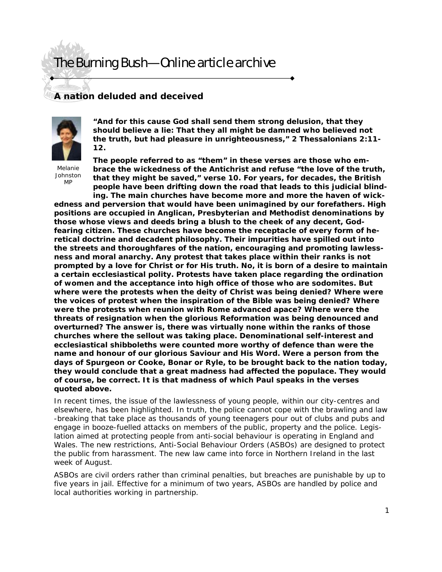# The Burning Bush—Online article archive

### **A nation deluded and deceived**



**"And for this cause God shall send them strong delusion, that they should believe a lie: That they all might be damned who believed not the truth, but had pleasure in unrighteousness," 2 Thessalonians 2:11- 12.** 

Melanie Johnston M<sub>D</sub>

**The people referred to as "them" in these verses are those who embrace the wickedness of the Antichrist and refuse "the love of the truth, that they might be saved," verse 10. For years, for decades, the British people have been drifting down the road that leads to this judicial blinding. The main churches have become more and more the haven of wick-**

**edness and perversion that would have been unimagined by our forefathers. High positions are occupied in Anglican, Presbyterian and Methodist denominations by those whose views and deeds bring a blush to the cheek of any decent, Godfearing citizen. These churches have become the receptacle of every form of heretical doctrine and decadent philosophy. Their impurities have spilled out into the streets and thoroughfares of the nation, encouraging and promoting lawlessness and moral anarchy. Any protest that takes place within their ranks is not prompted by a love for Christ or for His truth. No, it is born of a desire to maintain a certain ecclesiastical polity. Protests have taken place regarding the ordination of women and the acceptance into high office of those who are sodomites. But where were the protests when the deity of Christ was being denied? Where were the voices of protest when the inspiration of the Bible was being denied? Where were the protests when reunion with Rome advanced apace? Where were the threats of resignation when the glorious Reformation was being denounced and overturned? The answer is, there was virtually none within the ranks of those churches where the sellout was taking place. Denominational self-interest and ecclesiastical shibboleths were counted more worthy of defence than were the name and honour of our glorious Saviour and His Word. Were a person from the days of Spurgeon or Cooke, Bonar or Ryle, to be brought back to the nation today, they would conclude that a great madness had affected the populace. They would of course, be correct. It is that madness of which Paul speaks in the verses quoted above.** 

In recent times, the issue of the lawlessness of young people, within our city-centres and elsewhere, has been highlighted. In truth, the police cannot cope with the brawling and law -breaking that take place as thousands of young teenagers pour out of clubs and pubs and engage in booze-fuelled attacks on members of the public, property and the police. Legislation aimed at protecting people from anti-social behaviour is operating in England and Wales. The new restrictions, Anti-Social Behaviour Orders (ASBOs) are designed to protect the public from harassment. The new law came into force in Northern Ireland in the last week of August.

ASBOs are civil orders rather than criminal penalties, but breaches are punishable by up to five years in jail. Effective for a minimum of two years, ASBOs are handled by police and local authorities working in partnership.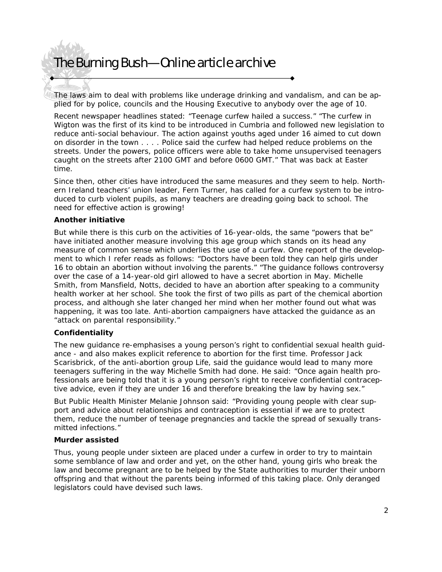## The Burning Bush—Online article archive

The laws aim to deal with problems like underage drinking and vandalism, and can be applied for by police, councils and the Housing Executive to anybody over the age of 10.

Recent newspaper headlines stated: "Teenage curfew hailed a success." "The curfew in Wigton was the first of its kind to be introduced in Cumbria and followed new legislation to reduce anti-social behaviour. The action against youths aged under 16 aimed to cut down on disorder in the town . . . . Police said the curfew had helped reduce problems on the streets. Under the powers, police officers were able to take home unsupervised teenagers caught on the streets after 2100 GMT and before 0600 GMT." That was back at Easter time.

Since then, other cities have introduced the same measures and they seem to help. Northern Ireland teachers' union leader, Fern Turner, has called for a curfew system to be introduced to curb violent pupils, as many teachers are dreading going back to school. The need for effective action is growing!

#### **Another initiative**

But while there is this curb on the activities of 16-year-olds, the same "powers that be" have initiated another measure involving this age group which stands on its head any measure of common sense which underlies the use of a curfew. One report of the development to which I refer reads as follows: "Doctors have been told they can help girls under 16 to obtain an abortion without involving the parents." "The guidance follows controversy over the case of a 14-year-old girl allowed to have a secret abortion in May. Michelle Smith, from Mansfield, Notts, decided to have an abortion after speaking to a community health worker at her school. She took the first of two pills as part of the chemical abortion process, and although she later changed her mind when her mother found out what was happening, it was too late. Anti-abortion campaigners have attacked the guidance as an "attack on parental responsibility."

#### **Confidentiality**

The new guidance re-emphasises a young person's right to confidential sexual health guidance - and also makes explicit reference to abortion for the first time. Professor Jack Scarisbrick, of the anti-abortion group Life, said the guidance would lead to many more teenagers suffering in the way Michelle Smith had done. He said: "Once again health professionals are being told that it is a young person's right to receive confidential contraceptive advice, even if they are under 16 and therefore breaking the law by having sex."

But Public Health Minister Melanie Johnson said: "Providing young people with clear support and advice about relationships and contraception is essential if we are to protect them, reduce the number of teenage pregnancies and tackle the spread of sexually transmitted infections."

#### **Murder assisted**

Thus, young people under sixteen are placed under a curfew in order to try to maintain some semblance of law and order and yet, on the other hand, young girls who break the law and become pregnant are to be helped by the State authorities to murder their unborn offspring and that without the parents being informed of this taking place. Only deranged legislators could have devised such laws.